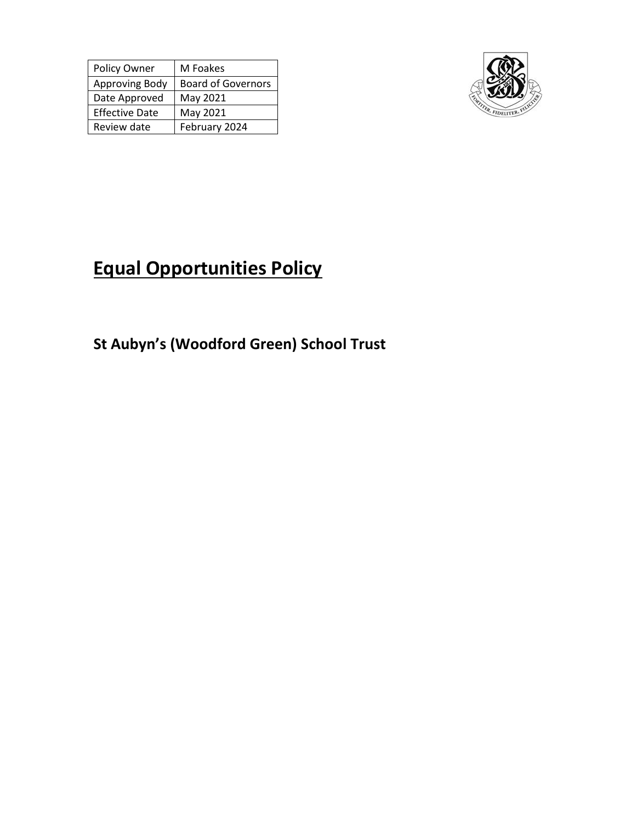| Policy Owner          | M Foakes                  |
|-----------------------|---------------------------|
| Approving Body        | <b>Board of Governors</b> |
| Date Approved         | May 2021                  |
| <b>Effective Date</b> | May 2021                  |
| Review date           | February 2024             |



# **Equal Opportunities Policy**

**St Aubyn's (Woodford Green) School Trust**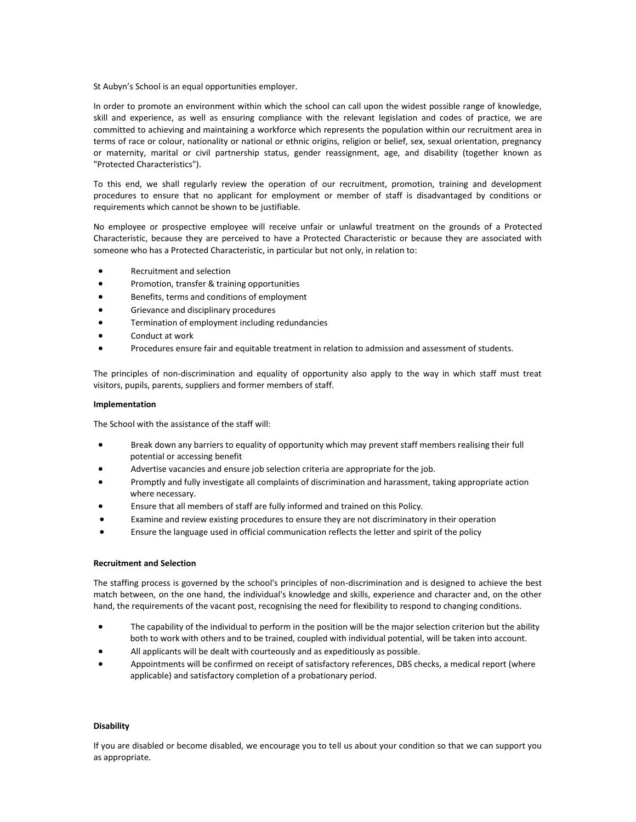St Aubyn's School is an equal opportunities employer.

In order to promote an environment within which the school can call upon the widest possible range of knowledge, skill and experience, as well as ensuring compliance with the relevant legislation and codes of practice, we are committed to achieving and maintaining a workforce which represents the population within our recruitment area in terms of race or colour, nationality or national or ethnic origins, religion or belief, sex, sexual orientation, pregnancy or maternity, marital or civil partnership status, gender reassignment, age, and disability (together known as "Protected Characteristics").

To this end, we shall regularly review the operation of our recruitment, promotion, training and development procedures to ensure that no applicant for employment or member of staff is disadvantaged by conditions or requirements which cannot be shown to be justifiable.

No employee or prospective employee will receive unfair or unlawful treatment on the grounds of a Protected Characteristic, because they are perceived to have a Protected Characteristic or because they are associated with someone who has a Protected Characteristic, in particular but not only, in relation to:

- Recruitment and selection
- Promotion, transfer & training opportunities
- Benefits, terms and conditions of employment
- Grievance and disciplinary procedures
- Termination of employment including redundancies
- Conduct at work
- Procedures ensure fair and equitable treatment in relation to admission and assessment of students.

The principles of non-discrimination and equality of opportunity also apply to the way in which staff must treat visitors, pupils, parents, suppliers and former members of staff.

# **Implementation**

The School with the assistance of the staff will:

- Break down any barriers to equality of opportunity which may prevent staff members realising their full potential or accessing benefit
- Advertise vacancies and ensure job selection criteria are appropriate for the job.
- Promptly and fully investigate all complaints of discrimination and harassment, taking appropriate action where necessary.
- Ensure that all members of staff are fully informed and trained on this Policy.
- Examine and review existing procedures to ensure they are not discriminatory in their operation
- Ensure the language used in official communication reflects the letter and spirit of the policy

# **Recruitment and Selection**

The staffing process is governed by the school's principles of non-discrimination and is designed to achieve the best match between, on the one hand, the individual's knowledge and skills, experience and character and, on the other hand, the requirements of the vacant post, recognising the need for flexibility to respond to changing conditions.

- The capability of the individual to perform in the position will be the major selection criterion but the ability both to work with others and to be trained, coupled with individual potential, will be taken into account.
- All applicants will be dealt with courteously and as expeditiously as possible.
- Appointments will be confirmed on receipt of satisfactory references, DBS checks, a medical report (where applicable) and satisfactory completion of a probationary period.

### **Disability**

If you are disabled or become disabled, we encourage you to tell us about your condition so that we can support you as appropriate.